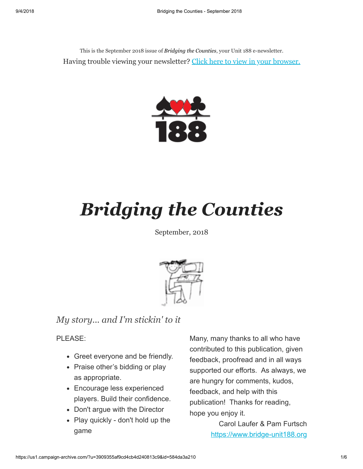This is the September 2018 issue of *Bridging the Counties*, your Unit 188 e-newsletter. Having trouble viewing your newsletter? [Click here to view in your browser.](https://us1.campaign-archive.com/?e=[UNIQID]&u=3909355af9cd4cb4d240813c9&id=584da3a210)



## *Bridging the Counties*

September, 2018



## *My story... and I'm stickin' to it*

PLEASE:

- Greet everyone and be friendly.
- Praise other's bidding or play as appropriate.
- Encourage less experienced players. Build their confidence.
- Don't argue with the Director
- Play quickly don't hold up the game

Many, many thanks to all who have contributed to this publication, given feedback, proofread and in all ways supported our efforts. As always, we are hungry for comments, kudos, feedback, and help with this publication! Thanks for reading, hope you enjoy it.

> Carol Laufer & Pam Furtsch [https://www.bridge-unit188.org](http://www.bridge-unit188.org/)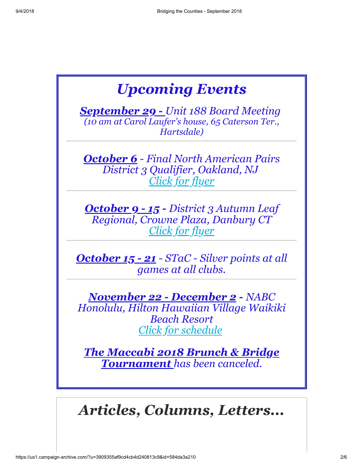| <b>Upcoming Events</b> |                                                                                                                                         |
|------------------------|-----------------------------------------------------------------------------------------------------------------------------------------|
|                        | <u> <b>September 29 -</b> Unit 188 Board Meeting</u><br>(10 am at Carol Laufer's house, 65 Caterson Ter.,<br>Hartsdale)                 |
|                        | <b>October 6</b> - Final North American Pairs<br>District 3 Qualifier, Oakland, NJ<br><u>Click for flyer</u>                            |
|                        | October 9 - 15 - District 3 Autumn Leaf<br>Regional, Crowne Plaza, Danbury CT<br><u>Click for flyer</u>                                 |
|                        | <u> <b>October 15 - 21</b></u> - STaC - Silver points at all<br><i>games at all clubs.</i>                                              |
|                        | <b>November 22 - December 2 - NABC</b><br>Honolulu, Hilton Hawaiian Village Waikiki<br><b>Beach Resort</b><br><u>Click for schedule</u> |
|                        | <u>The Maccabi 2018 Brunch &amp; Bridge</u><br><b>Tournament</b> has been canceled.                                                     |

*Articles, Columns, Letters...*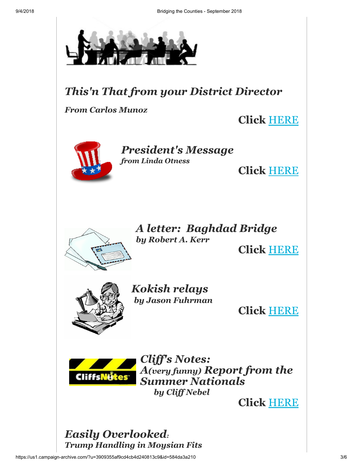

*Easily Overlooked: Trump Handling in Moysian Fits*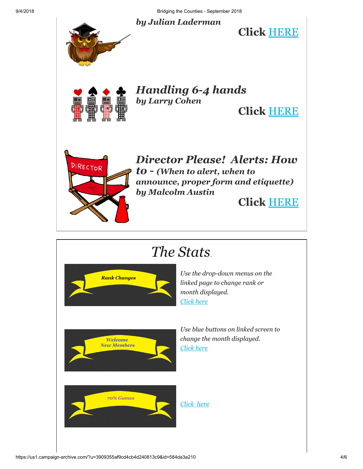9/4/2018 Bridging the Counties - September 2018

## *by Julian Laderman*



**Click** [HERE](https://drive.google.com/file/d/1lcOaZX5mDXyfJDStqi8rhMV44icVfcbV/view?usp=sharing)

*Handling 6-4 hands by Larry Cohen* **Click** [HERE](https://drive.google.com/file/d/19gZyItuAsF9f5kI31Akk1pxxw5cwVmbC/view?usp=sharing)



*Director Please! Alerts: How to - (When to alert, when to announce, proper form and etiquette) by Malcolm Austin*

**Click** [HERE](https://drive.google.com/file/d/12WqC0hxOyxV7Lh6cujbv21pxpblZ0wq9/view?usp=sharing)

## *The Stats*.



*Use the drop-down menus on the linked page to change rank or month displayed. [Click here](https://web3.acbl.org/rankachievements/?year=2018&month=6&unit=188&rank=A)*





https://us1.campaign-archive.com/?u=3909355af9cd4cb4d240813c9&id=584da3a210 4/6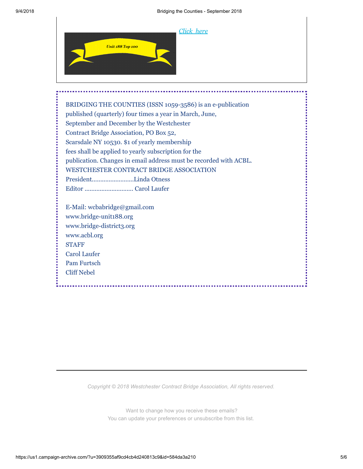

BRIDGING THE COUNTIES (ISSN 1059-3586) is an e-publication published (quarterly) four times a year in March, June, September and December by the Westchester Contract Bridge Association, PO Box 52, Scarsdale NY 10530. \$1 of yearly membership fees shall be applied to yearly subscription for the publication. Changes in email address must be recorded with ACBL. WESTCHESTER CONTRACT BRIDGE ASSOCIATION President.........................Linda Otness Editor ............................. Carol Laufer E-Mail: wcbabridge@gmail.com www.bridge-unit188.org www.bridge-district3.org www.acbl.org **STAFF** Carol Laufer Pam Furtsch

*Copyright © 2018 Westchester Contract Bridge Association, All rights reserved.*

Want to change how you receive these emails? You can [update your preferences](https://bridge-unit188.us1.list-manage.com/profile?u=3909355af9cd4cb4d240813c9&id=499e9536bc&e=[UNIQID]) or [unsubscribe from this list](https://bridge-unit188.us1.list-manage.com/unsubscribe?u=3909355af9cd4cb4d240813c9&id=499e9536bc&e=[UNIQID]&c=584da3a210).

Cliff Nebel